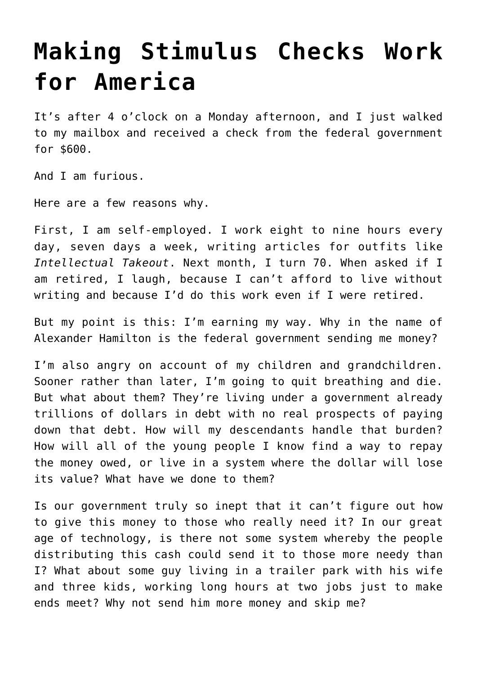## **[Making Stimulus Checks Work](https://intellectualtakeout.org/2021/02/making-stimulus-checks-work-for-america/) [for America](https://intellectualtakeout.org/2021/02/making-stimulus-checks-work-for-america/)**

It's after 4 o'clock on a Monday afternoon, and I just walked to my mailbox and received a check from the federal government for \$600.

And I am furious.

Here are a few reasons why.

First, I am self-employed. I work eight to nine hours every day, seven days a week, writing articles for outfits like *Intellectual Takeout*. Next month, I turn 70. When asked if I am retired, I laugh, because I can't afford to live without writing and because I'd do this work even if I were retired.

But my point is this: I'm earning my way. Why in the name of Alexander Hamilton is the federal government sending me money?

I'm also angry on account of my children and grandchildren. Sooner rather than later, I'm going to quit breathing and die. But what about them? They're living under a government already trillions of dollars in debt with no real prospects of paying down that debt. How will my descendants handle that burden? How will all of the young people I know find a way to repay the money owed, or live in a system where the dollar will lose its value? What have we done to them?

Is our government truly so inept that it can't figure out how to give this money to those who really need it? In our great age of technology, is there not some system whereby the people distributing this cash could send it to those more needy than I? What about some guy living in a trailer park with his wife and three kids, working long hours at two jobs just to make ends meet? Why not send him more money and skip me?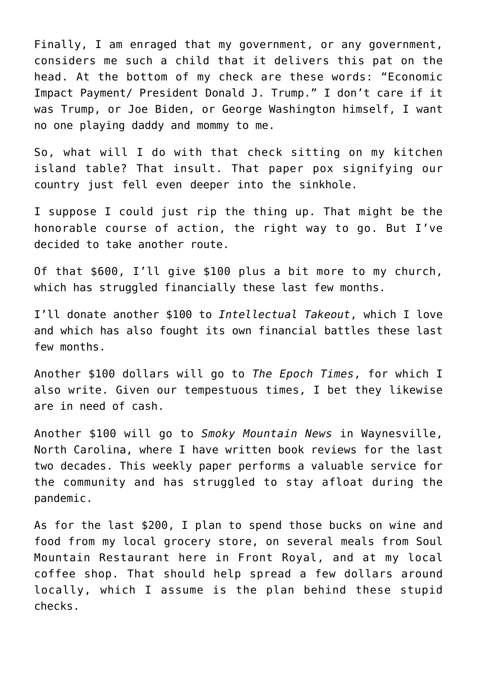Finally, I am enraged that my government, or any government, considers me such a child that it delivers this pat on the head. At the bottom of my check are these words: "Economic Impact Payment/ President Donald J. Trump." I don't care if it was Trump, or Joe Biden, or George Washington himself, I want no one playing daddy and mommy to me.

So, what will I do with that check sitting on my kitchen island table? That insult. That paper pox signifying our country just fell even deeper into the sinkhole.

I suppose I could just rip the thing up. That might be the honorable course of action, the right way to go. But I've decided to take another route.

Of that \$600, I'll give \$100 plus a bit more to my church, which has struggled financially these last few months.

I'll donate another \$100 to *Intellectual Takeout*, which I love and which has also fought its own financial battles these last few months.

Another \$100 dollars will go to *The Epoch Times*, for which I also write. Given our tempestuous times, I bet they likewise are in need of cash.

Another \$100 will go to *Smoky Mountain News* in Waynesville, North Carolina, where I have written book reviews for the last two decades. This weekly paper performs a valuable service for the community and has struggled to stay afloat during the pandemic.

As for the last \$200, I plan to spend those bucks on wine and food from my local grocery store, on several meals from Soul Mountain Restaurant here in Front Royal, and at my local coffee shop. That should help spread a few dollars around locally, which I assume is the plan behind these stupid checks.